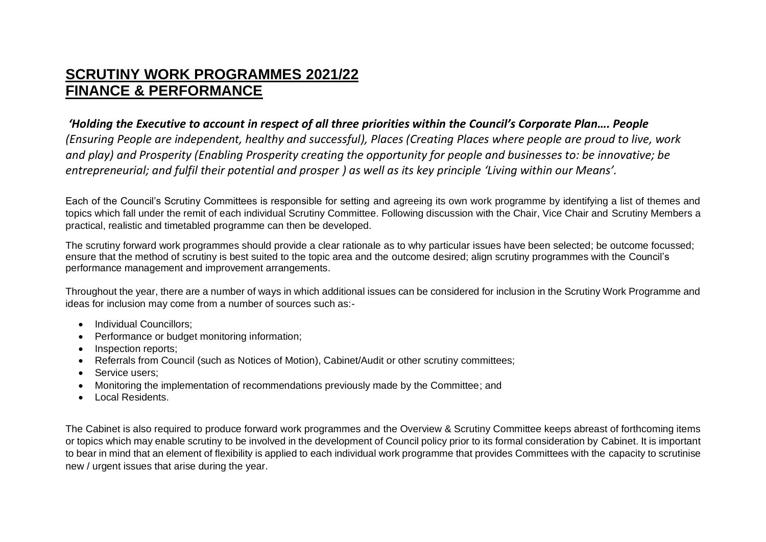## **SCRUTINY WORK PROGRAMMES 2021/22 FINANCE & PERFORMANCE**

## *'Holding the Executive to account in respect of all three priorities within the Council's Corporate Plan…. People*

*(Ensuring People are independent, healthy and successful), Places (Creating Places where people are proud to live, work and play) and Prosperity (Enabling Prosperity creating the opportunity for people and businesses to: be innovative; be entrepreneurial; and fulfil their potential and prosper ) as well as its key principle 'Living within our Means'.*

Each of the Council's Scrutiny Committees is responsible for setting and agreeing its own work programme by identifying a list of themes and topics which fall under the remit of each individual Scrutiny Committee. Following discussion with the Chair, Vice Chair and Scrutiny Members a practical, realistic and timetabled programme can then be developed.

The scrutiny forward work programmes should provide a clear rationale as to why particular issues have been selected; be outcome focussed; ensure that the method of scrutiny is best suited to the topic area and the outcome desired; align scrutiny programmes with the Council's performance management and improvement arrangements.

Throughout the year, there are a number of ways in which additional issues can be considered for inclusion in the Scrutiny Work Programme and ideas for inclusion may come from a number of sources such as:-

- Individual Councillors:
- Performance or budget monitoring information;
- Inspection reports;
- Referrals from Council (such as Notices of Motion), Cabinet/Audit or other scrutiny committees;
- Service users:
- Monitoring the implementation of recommendations previously made by the Committee; and
- Local Residents.

The Cabinet is also required to produce forward work programmes and the Overview & Scrutiny Committee keeps abreast of forthcoming items or topics which may enable scrutiny to be involved in the development of Council policy prior to its formal consideration by Cabinet. It is important to bear in mind that an element of flexibility is applied to each individual work programme that provides Committees with the capacity to scrutinise new / urgent issues that arise during the year.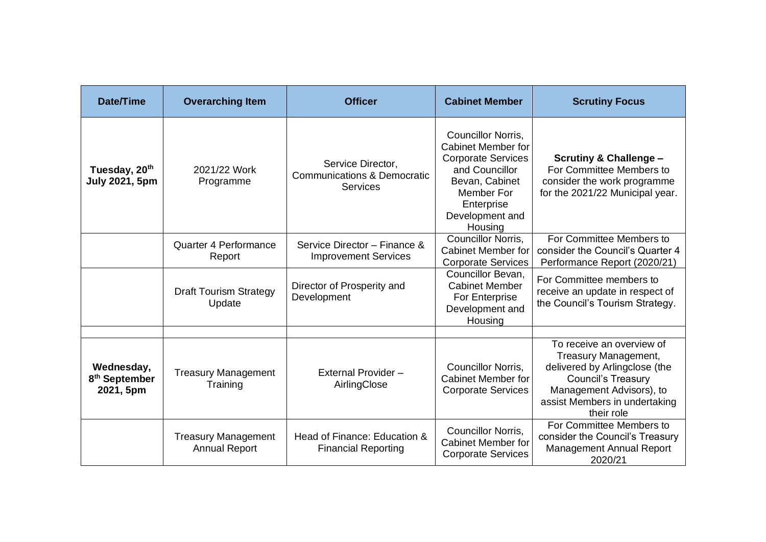| Date/Time                                            | <b>Overarching Item</b>                            | <b>Officer</b>                                                          | <b>Cabinet Member</b>                                                                                                                                                      | <b>Scrutiny Focus</b>                                                                                                                                                                      |
|------------------------------------------------------|----------------------------------------------------|-------------------------------------------------------------------------|----------------------------------------------------------------------------------------------------------------------------------------------------------------------------|--------------------------------------------------------------------------------------------------------------------------------------------------------------------------------------------|
| Tuesday, 20 <sup>th</sup><br><b>July 2021, 5pm</b>   | 2021/22 Work<br>Programme                          | Service Director,<br><b>Communications &amp; Democratic</b><br>Services | Councillor Norris,<br><b>Cabinet Member for</b><br><b>Corporate Services</b><br>and Councillor<br>Bevan, Cabinet<br>Member For<br>Enterprise<br>Development and<br>Housing | <b>Scrutiny &amp; Challenge -</b><br>For Committee Members to<br>consider the work programme<br>for the 2021/22 Municipal year.                                                            |
|                                                      | Quarter 4 Performance<br>Report                    | Service Director - Finance &<br><b>Improvement Services</b>             | <b>Councillor Norris.</b><br><b>Cabinet Member for</b><br><b>Corporate Services</b>                                                                                        | For Committee Members to<br>consider the Council's Quarter 4<br>Performance Report (2020/21)                                                                                               |
|                                                      | <b>Draft Tourism Strategy</b><br>Update            | Director of Prosperity and<br>Development                               | Councillor Bevan,<br><b>Cabinet Member</b><br>For Enterprise<br>Development and<br>Housing                                                                                 | For Committee members to<br>receive an update in respect of<br>the Council's Tourism Strategy.                                                                                             |
| Wednesday,<br>8 <sup>th</sup> September<br>2021, 5pm | <b>Treasury Management</b><br>Training             | External Provider -<br>AirlingClose                                     | Councillor Norris,<br><b>Cabinet Member for</b><br><b>Corporate Services</b>                                                                                               | To receive an overview of<br>Treasury Management,<br>delivered by Arlingclose (the<br><b>Council's Treasury</b><br>Management Advisors), to<br>assist Members in undertaking<br>their role |
|                                                      | <b>Treasury Management</b><br><b>Annual Report</b> | Head of Finance: Education &<br><b>Financial Reporting</b>              | Councillor Norris,<br><b>Cabinet Member for</b><br><b>Corporate Services</b>                                                                                               | For Committee Members to<br>consider the Council's Treasury<br><b>Management Annual Report</b><br>2020/21                                                                                  |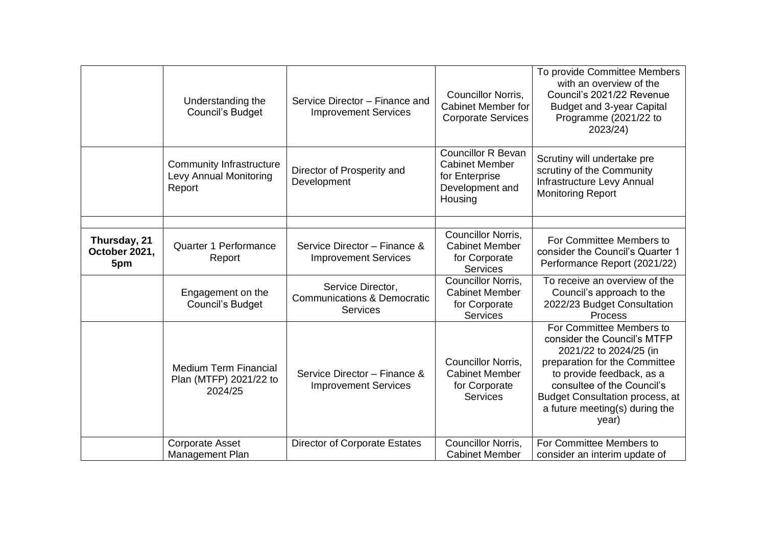|                                      | Understanding the<br><b>Council's Budget</b>                        | Service Director - Finance and<br><b>Improvement Services</b>                  | Councillor Norris,<br><b>Cabinet Member for</b><br><b>Corporate Services</b>                       | To provide Committee Members<br>with an overview of the<br>Council's 2021/22 Revenue<br><b>Budget and 3-year Capital</b><br>Programme (2021/22 to<br>2023/24)                                                                                                      |
|--------------------------------------|---------------------------------------------------------------------|--------------------------------------------------------------------------------|----------------------------------------------------------------------------------------------------|--------------------------------------------------------------------------------------------------------------------------------------------------------------------------------------------------------------------------------------------------------------------|
|                                      | <b>Community Infrastructure</b><br>Levy Annual Monitoring<br>Report | Director of Prosperity and<br>Development                                      | <b>Councillor R Bevan</b><br><b>Cabinet Member</b><br>for Enterprise<br>Development and<br>Housing | Scrutiny will undertake pre<br>scrutiny of the Community<br>Infrastructure Levy Annual<br><b>Monitoring Report</b>                                                                                                                                                 |
| Thursday, 21<br>October 2021,<br>5pm | Quarter 1 Performance<br>Report                                     | Service Director - Finance &<br><b>Improvement Services</b>                    | Councillor Norris,<br><b>Cabinet Member</b><br>for Corporate<br><b>Services</b>                    | For Committee Members to<br>consider the Council's Quarter 1<br>Performance Report (2021/22)                                                                                                                                                                       |
|                                      | Engagement on the<br><b>Council's Budget</b>                        | Service Director,<br><b>Communications &amp; Democratic</b><br><b>Services</b> | Councillor Norris,<br><b>Cabinet Member</b><br>for Corporate<br><b>Services</b>                    | To receive an overview of the<br>Council's approach to the<br>2022/23 Budget Consultation<br>Process                                                                                                                                                               |
|                                      | <b>Medium Term Financial</b><br>Plan (MTFP) 2021/22 to<br>2024/25   | Service Director - Finance &<br><b>Improvement Services</b>                    | Councillor Norris,<br><b>Cabinet Member</b><br>for Corporate<br><b>Services</b>                    | For Committee Members to<br>consider the Council's MTFP<br>2021/22 to 2024/25 (in<br>preparation for the Committee<br>to provide feedback, as a<br>consultee of the Council's<br><b>Budget Consultation process, at</b><br>a future meeting(s) during the<br>year) |
|                                      | <b>Corporate Asset</b><br>Management Plan                           | <b>Director of Corporate Estates</b>                                           | Councillor Norris,<br><b>Cabinet Member</b>                                                        | For Committee Members to<br>consider an interim update of                                                                                                                                                                                                          |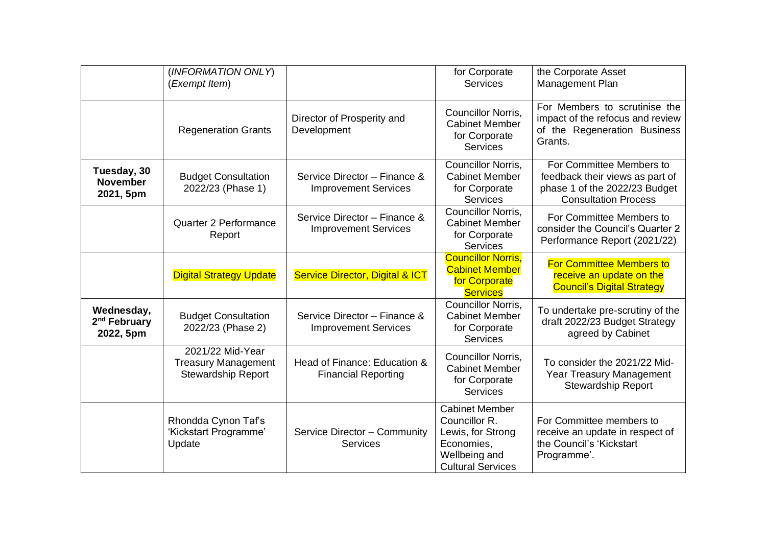|                                                     | (INFORMATION ONLY)                                                          |                                                             | for Corporate                                                                                                          | the Corporate Asset                                                                                                         |
|-----------------------------------------------------|-----------------------------------------------------------------------------|-------------------------------------------------------------|------------------------------------------------------------------------------------------------------------------------|-----------------------------------------------------------------------------------------------------------------------------|
|                                                     | (Exempt Item)                                                               |                                                             | <b>Services</b>                                                                                                        | Management Plan                                                                                                             |
|                                                     | <b>Regeneration Grants</b>                                                  | Director of Prosperity and<br>Development                   | Councillor Norris,<br><b>Cabinet Member</b><br>for Corporate<br><b>Services</b>                                        | For Members to scrutinise the<br>impact of the refocus and review<br>of the Regeneration Business<br>Grants.                |
| Tuesday, 30<br><b>November</b><br>2021, 5pm         | <b>Budget Consultation</b><br>2022/23 (Phase 1)                             | Service Director - Finance &<br><b>Improvement Services</b> | Councillor Norris,<br><b>Cabinet Member</b><br>for Corporate<br>Services                                               | For Committee Members to<br>feedback their views as part of<br>phase 1 of the 2022/23 Budget<br><b>Consultation Process</b> |
|                                                     | Quarter 2 Performance<br>Report                                             | Service Director - Finance &<br><b>Improvement Services</b> | Councillor Norris.<br><b>Cabinet Member</b><br>for Corporate<br><b>Services</b>                                        | For Committee Members to<br>consider the Council's Quarter 2<br>Performance Report (2021/22)                                |
|                                                     | <b>Digital Strategy Update</b>                                              | <b>Service Director, Digital &amp; ICT</b>                  | <b>Councillor Norris,</b><br><b>Cabinet Member</b><br>for Corporate<br><b>Services</b>                                 | <b>For Committee Members to</b><br>receive an update on the<br><b>Council's Digital Strategy</b>                            |
| Wednesday,<br>2 <sup>nd</sup> February<br>2022, 5pm | <b>Budget Consultation</b><br>2022/23 (Phase 2)                             | Service Director - Finance &<br><b>Improvement Services</b> | Councillor Norris,<br><b>Cabinet Member</b><br>for Corporate<br><b>Services</b>                                        | To undertake pre-scrutiny of the<br>draft 2022/23 Budget Strategy<br>agreed by Cabinet                                      |
|                                                     | 2021/22 Mid-Year<br><b>Treasury Management</b><br><b>Stewardship Report</b> | Head of Finance: Education &<br><b>Financial Reporting</b>  | Councillor Norris,<br><b>Cabinet Member</b><br>for Corporate<br><b>Services</b>                                        | To consider the 2021/22 Mid-<br><b>Year Treasury Management</b><br><b>Stewardship Report</b>                                |
|                                                     | Rhondda Cynon Taf's<br>'Kickstart Programme'<br>Update                      | Service Director - Community<br><b>Services</b>             | <b>Cabinet Member</b><br>Councillor R.<br>Lewis, for Strong<br>Economies,<br>Wellbeing and<br><b>Cultural Services</b> | For Committee members to<br>receive an update in respect of<br>the Council's 'Kickstart<br>Programme'.                      |